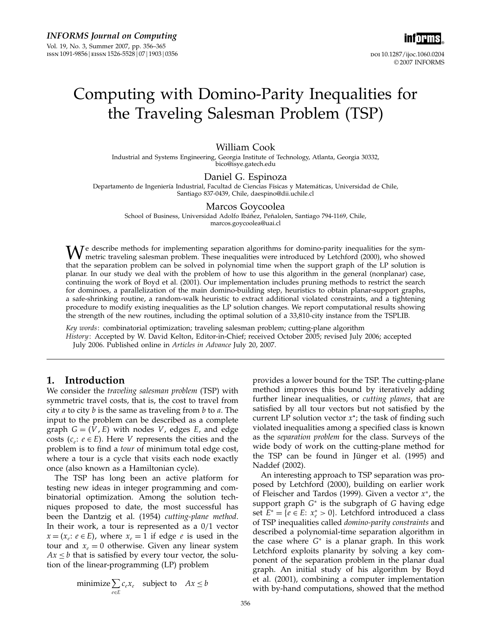inf<mark>orms</mark>。 doi 10.1287/ijoc.1060.0204 © 2007 INFORMS

# Computing with Domino-Parity Inequalities for the Traveling Salesman Problem (TSP)

## William Cook

Industrial and Systems Engineering, Georgia Institute of Technology, Atlanta, Georgia 30332, bico@isye.gatech.edu

## Daniel G. Espinoza

Departamento de Ingeniería Industrial, Facultad de Ciencias Físicas y Matemáticas, Universidad de Chile, Santiago 837-0439, Chile, daespino@dii.uchile.cl

## Marcos Goycoolea

School of Business, Universidad Adolfo Ibáñez, Peñalolen, Santiago 794-1169, Chile, marcos.goycoolea@uai.cl

We describe methods for implementing separation algorithms for domino-parity inequalities for the sym-<br>metric traveling salesman problem. These inequalities were introduced by Letchford (2000), who showed<br>that the separati that the separation problem can be solved in polynomial time when the support graph of the LP solution is planar. In our study we deal with the problem of how to use this algorithm in the general (nonplanar) case, continuing the work of Boyd et al. (2001). Our implementation includes pruning methods to restrict the search for dominoes, a parallelization of the main domino-building step, heuristics to obtain planar-support graphs, a safe-shrinking routine, a random-walk heuristic to extract additional violated constraints, and a tightening procedure to modify existing inequalities as the LP solution changes. We report computational results showing the strength of the new routines, including the optimal solution of a 33,810-city instance from the TSPLIB.

Key words: combinatorial optimization; traveling salesman problem; cutting-plane algorithm History: Accepted by W. David Kelton, Editor-in-Chief; received October 2005; revised July 2006; accepted July 2006. Published online in Articles in Advance July 20, 2007.

# 1. Introduction

We consider the traveling salesman problem (TSP) with symmetric travel costs, that is, the cost to travel from city  $a$  to city  $b$  is the same as traveling from  $b$  to  $a$ . The input to the problem can be described as a complete graph  $G = (V, E)$  with nodes V, edges E, and edge costs ( $c_e$ :  $e \in E$ ). Here V represents the cities and the problem is to find a tour of minimum total edge cost, where a tour is a cycle that visits each node exactly once (also known as a Hamiltonian cycle).

The TSP has long been an active platform for testing new ideas in integer programming and combinatorial optimization. Among the solution techniques proposed to date, the most successful has been the Dantzig et al. (1954) cutting-plane method. In their work, a tour is represented as a 0/1 vector  $x = (x_e : e \in E)$ , where  $x_e = 1$  if edge e is used in the tour and  $x_e = 0$  otherwise. Given any linear system  $Ax \leq b$  that is satisfied by every tour vector, the solution of the linear-programming (LP) problem

$$
\text{minimize} \sum_{e \in E} c_e x_e \quad \text{subject to} \quad Ax \le b
$$

provides a lower bound for the TSP. The cutting-plane method improves this bound by iteratively adding further linear inequalities, or cutting planes, that are satisfied by all tour vectors but not satisfied by the current LP solution vector  $x^*$ ; the task of finding such violated inequalities among a specified class is known as the separation problem for the class. Surveys of the wide body of work on the cutting-plane method for the TSP can be found in Jünger et al. (1995) and Naddef (2002).

An interesting approach to TSP separation was proposed by Letchford (2000), building on earlier work of Fleischer and Tardos (1999). Given a vector  $x^*$ , the support graph  $G^*$  is the subgraph of G having edge set  $E^* = \{e \in E: x_e^* > 0\}$ . Letchford introduced a class of TSP inequalities called domino-parity constraints and described a polynomial-time separation algorithm in the case where  $G^*$  is a planar graph. In this work Letchford exploits planarity by solving a key component of the separation problem in the planar dual graph. An initial study of his algorithm by Boyd et al. (2001), combining a computer implementation with by-hand computations, showed that the method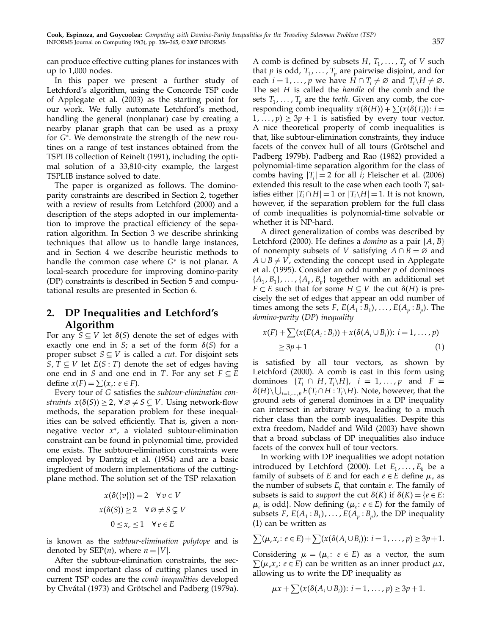can produce effective cutting planes for instances with up to 1,000 nodes.

In this paper we present a further study of Letchford's algorithm, using the Concorde TSP code of Applegate et al. (2003) as the starting point for our work. We fully automate Letchford's method, handling the general (nonplanar) case by creating a nearby planar graph that can be used as a proxy for G∗. We demonstrate the strength of the new routines on a range of test instances obtained from the TSPLIB collection of Reinelt (1991), including the optimal solution of a 33,810-city example, the largest TSPLIB instance solved to date.

The paper is organized as follows. The dominoparity constraints are described in Section 2, together with a review of results from Letchford (2000) and a description of the steps adopted in our implementation to improve the practical efficiency of the separation algorithm. In Section 3 we describe shrinking techniques that allow us to handle large instances, and in Section 4 we describe heuristic methods to handle the common case where  $G^*$  is not planar. A local-search procedure for improving domino-parity (DP) constraints is described in Section 5 and computational results are presented in Section 6.

# 2. DP Inequalities and Letchford's Algorithm

For any  $S \subseteq V$  let  $\delta(S)$  denote the set of edges with exactly one end in S; a set of the form  $\delta(S)$  for a proper subset  $S \subseteq V$  is called a *cut*. For disjoint sets  $S, T \subseteq V$  let  $E(S:T)$  denote the set of edges having one end in S and one end in T. For any set  $F \subseteq E$ define  $x(F) = \sum (x_e: e \in F)$ .

Every tour of G satisfies the subtour-elimination constraints  $x(\delta(S)) \geq 2$ ,  $\forall \emptyset \neq S \subsetneq V$ . Using network-flow methods, the separation problem for these inequalities can be solved efficiently. That is, given a nonnegative vector x∗, a violated subtour-elimination constraint can be found in polynomial time, provided one exists. The subtour-elimination constraints were employed by Dantzig et al. (1954) and are a basic ingredient of modern implementations of the cuttingplane method. The solution set of the TSP relaxation

$$
x(\delta(\{v\})) = 2 \quad \forall v \in V
$$
  

$$
x(\delta(S)) \ge 2 \quad \forall \varnothing \ne S \subsetneq V
$$
  

$$
0 \le x_e \le 1 \quad \forall e \in E
$$

is known as the subtour-elimination polytope and is denoted by SEP(*n*), where  $n = |V|$ .

After the subtour-elimination constraints, the second most important class of cutting planes used in current TSP codes are the comb inequalities developed by Chvátal (1973) and Grötschel and Padberg (1979a).

A comb is defined by subsets  $H$ ,  $T_1$ , ...,  $T_p$  of  $V$  such that p is odd,  $T_1$ , ...,  $T_p$  are pairwise disjoint, and for each  $i = 1, ..., p$  we have  $H \cap T_i \neq \emptyset$  and  $T_i \setminus H \neq \emptyset$ . The set H is called the *handle* of the comb and the sets  $T_1, \ldots, T_p$  are the teeth. Given any comb, the corresponding comb inequality  $x(\delta(H)) + \sum (x(\delta(T_i)) : i =$  $1, \ldots, p$ )  $\geq 3p + 1$  is satisfied by every tour vector. A nice theoretical property of comb inequalities is that, like subtour-elimination constraints, they induce facets of the convex hull of all tours (Grötschel and Padberg 1979b). Padberg and Rao (1982) provided a polynomial-time separation algorithm for the class of combs having  $|T_i| = 2$  for all *i*; Fleischer et al. (2006) extended this result to the case when each tooth  $T_i$  satisfies either  $|T_i \cap H| = 1$  or  $|T_i \setminus H| = 1$ . It is not known, however, if the separation problem for the full class of comb inequalities is polynomial-time solvable or whether it is NP-hard.

A direct generalization of combs was described by Letchford (2000). He defines a *domino* as a pair  $\{A, B\}$ of nonempty subsets of *V* satisfying  $A \cap B = \emptyset$  and  $A \cup B \neq V$ , extending the concept used in Applegate et al. (1995). Consider an odd number  $p$  of dominoes  $\{A_1, B_1\}, \ldots, \{A_p, B_p\}$  together with an additional set  $F \subset E$  such that for some  $H \subseteq V$  the cut  $\delta(H)$  is precisely the set of edges that appear an odd number of times among the sets *F*,  $E(A_1 : B_1)$ , ...,  $E(A_p : B_p)$ . The domino-parity (DP) inequality

$$
x(F) + \sum (x(E(A_i:B_i)) + x(\delta(A_i \cup B_i)) : i = 1, ..., p)
$$
  
\n
$$
\geq 3p + 1
$$
 (1)

is satisfied by all tour vectors, as shown by Letchford (2000). A comb is cast in this form using dominoes  $\{T_i \cap H, T_i \setminus H\}$ ,  $i = 1, ..., p$  and  $F =$  $\delta(H) \setminus \bigcup_{i=1,\dots,p} E(T_i \cap H : T_i \setminus H)$ . Note, however, that the ground sets of general dominoes in a DP inequality can intersect in arbitrary ways, leading to a much richer class than the comb inequalities. Despite this extra freedom, Naddef and Wild (2003) have shown that a broad subclass of DP inequalities also induce facets of the convex hull of tour vectors.

In working with DP inequalities we adopt notation introduced by Letchford (2000). Let  $E_1, \ldots, E_k$  be a family of subsets of E and for each  $e \in E$  define  $\mu_e$  as the number of subsets  $E_i$  that contain  $e$ . The family of subsets is said to *support* the cut  $\delta(K)$  if  $\delta(K) = \{e \in E:$  $\mu_e$  is odd. Now defining ( $\mu_e$ :  $e \in E$ ) for the family of subsets *F*,  $E(A_1 : B_1)$ , ...,  $E(A_p : B_p)$ , the DP inequality (1) can be written as

$$
\sum (\mu_e x_e : e \in E) + \sum (x(\delta(A_i \cup B_i)) : i = 1, \ldots, p) \ge 3p + 1.
$$

Considering  $\mu = (\mu_e: e \in E)$  as a vector, the sum  $\sum (\mu_e x_e : e \in E)$  can be written as an inner product  $\mu x$ , allowing us to write the DP inequality as

$$
\mu x + \sum (x(\delta(A_i \cup B_i)) : i = 1, \ldots, p) \ge 3p + 1.
$$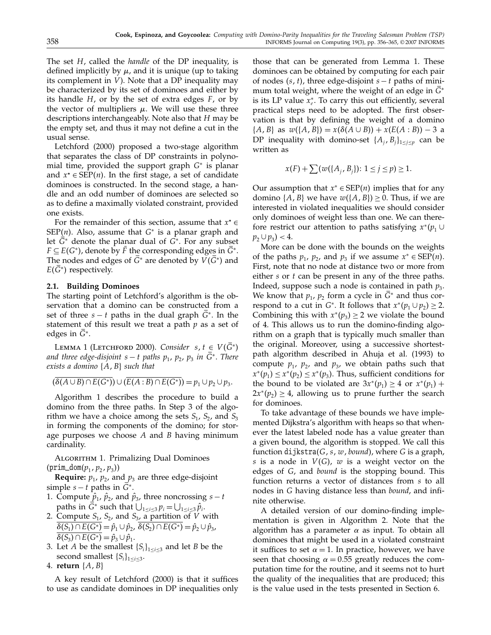The set H, called the *handle* of the DP inequality, is defined implicitly by  $\mu$ , and it is unique (up to taking its complement in  $V$ ). Note that a DP inequality may be characterized by its set of dominoes and either by its handle  $H$ , or by the set of extra edges  $F$ , or by the vector of multipliers  $\mu$ . We will use these three descriptions interchangeably. Note also that  $H$  may be the empty set, and thus it may not define a cut in the usual sense.

Letchford (2000) proposed a two-stage algorithm that separates the class of DP constraints in polynomial time, provided the support graph  $G^*$  is planar and  $x^* \in \text{SEP}(n)$ . In the first stage, a set of candidate dominoes is constructed. In the second stage, a handle and an odd number of dominoes are selected so as to define a maximally violated constraint, provided one exists.

For the remainder of this section, assume that  $x^* \in$  $SEP(n)$ . Also, assume that  $G^*$  is a planar graph and let G∗ denote the planar dual of G∗. For any subset  $F \subseteq E(G^*)$ , denote by F the corresponding edges in  $G^*$ . The nodes and edges of  $G^*$  are denoted by  $V(G^*)$  and  $E(G<sup>*</sup>)$  respectively.

## 2.1. Building Dominoes

The starting point of Letchford's algorithm is the observation that a domino can be constructed from a set of three  $s - t$  paths in the dual graph  $G^*$ . In the statement of this result we treat a path  $p$  as a set of edges in G∗.

LEMMA 1 (LETCHFORD 2000). Consider  $s, t \in V(G^*)$ and three edge-disjoint s – t paths  $p_1$ ,  $p_2$ ,  $p_3$  in  $\overline{G}^*$ . There exists a domino  $\{A, B\}$  such that

 $(\overline{\delta(A \cup B) \cap E(G^*)}) \cup (\overline{E(A:B) \cap E(G^*)}) = p_1 \cup p_2 \cup p_3.$ 

Algorithm 1 describes the procedure to build a domino from the three paths. In Step 3 of the algorithm we have a choice among the sets  $S_1$ ,  $S_2$ , and  $S_3$ in forming the components of the domino; for storage purposes we choose  $A$  and  $B$  having minimum cardinality.

ALGORITHM 1. Primalizing Dual Dominoes  $(prim\_dom(p_1, p_2, p_3))$ 

**Require:**  $p_1$ ,  $p_2$ , and  $p_3$  are three edge-disjoint simple  $s - t$  paths in  $G^*$ .

- 1. Compute  $\hat{p}_1$ ,  $\hat{p}_2$ , and  $\hat{p}_3$ , three noncrossing  $s t$ paths in  $G^*$  such that  $\bigcup_{1 \leq i \leq 3} p_i = \bigcup_{1 \leq i \leq 3} \hat{p}_i$ .
- 2. Compute  $S_1$ ,  $S_2$ , and  $S_3$ , a partition of V with  $\overline{\delta(S_1) \cap E(G^*)} = \hat{p}_1 \cup \hat{p}_2$ ,  $\delta(S_2) \cap E(G^*) = \hat{p}_2 \cup \hat{p}_3$ ,  $\delta(S_3) \cap E(G^*) = \hat{p}_3 \cup \hat{p}_1.$
- 3. Let *A* be the smallest  $\{S_i\}_{1 \le i \le 3}$  and let *B* be the second smallest  $\{S_i\}_{1 \leq i \leq 3}$ .

4. return  $\{A, B\}$ 

A key result of Letchford (2000) is that it suffices to use as candidate dominoes in DP inequalities only

those that can be generated from Lemma 1. These dominoes can be obtained by computing for each pair of nodes  $(s, t)$ , three edge-disjoint  $s - t$  paths of minimum total weight, where the weight of an edge in G<sup>∗</sup> is its LP value  $x_e^*$ . To carry this out efficiently, several practical steps need to be adopted. The first observation is that by defining the weight of a domino  ${A, B}$  as  $w({A, B}) = x(\delta(A \cup B)) + x(E(A : B)) - 3$  a DP inequality with domino-set  $\{A_j, B_j\}_{1 \leq j \leq p}$  can be written as

$$
x(F) + \sum (w(\{A_j, B_j\}) : 1 \le j \le p) \ge 1.
$$

Our assumption that  $x^* \in \text{SEP}(n)$  implies that for any domino  $\{A, B\}$  we have  $w(\{A, B\}) \geq 0$ . Thus, if we are interested in violated inequalities we should consider only dominoes of weight less than one. We can therefore restrict our attention to paths satisfying  $x^*(p_1 \cup$  $p_2 \cup p_3$  < 4.

More can be done with the bounds on the weights of the paths  $p_1$ ,  $p_2$ , and  $p_3$  if we assume  $x^* \in \text{SEP}(n)$ . First, note that no node at distance two or more from either  $s$  or  $t$  can be present in any of the three paths. Indeed, suppose such a node is contained in path  $p_3$ . We know that  $p_1$ ,  $p_2$  form a cycle in  $G^*$  and thus correspond to a cut in  $G^*$ . It follows that  $x^*(p_1 \cup p_2) \geq 2$ . Combining this with  $x^*(p_3) \geq 2$  we violate the bound of 4. This allows us to run the domino-finding algorithm on a graph that is typically much smaller than the original. Moreover, using a successive shortestpath algorithm described in Ahuja et al. (1993) to compute  $p_1$ ,  $p_2$ , and  $p_3$ , we obtain paths such that  $x^*(p_1) \leq x^*(p_2) \leq x^*(p_3)$ . Thus, sufficient conditions for the bound to be violated are  $3x*(p_1) \geq 4$  or  $x*(p_1)$  +  $2x^*(p_2) \geq 4$ , allowing us to prune further the search for dominoes.

To take advantage of these bounds we have implemented Dijkstra's algorithm with heaps so that whenever the latest labeled node has a value greater than a given bound, the algorithm is stopped. We call this function dijkstra $(G, s, w, bound)$ , where G is a graph, s is a node in  $V(G)$ , w is a weight vector on the edges of G, and bound is the stopping bound. This function returns a vector of distances from s to all nodes in G having distance less than bound, and infinite otherwise.

A detailed version of our domino-finding implementation is given in Algorithm 2. Note that the algorithm has a parameter  $\alpha$  as input. To obtain all dominoes that might be used in a violated constraint it suffices to set  $\alpha = 1$ . In practice, however, we have seen that choosing  $\alpha = 0.55$  greatly reduces the computation time for the routine, and it seems not to hurt the quality of the inequalities that are produced; this is the value used in the tests presented in Section 6.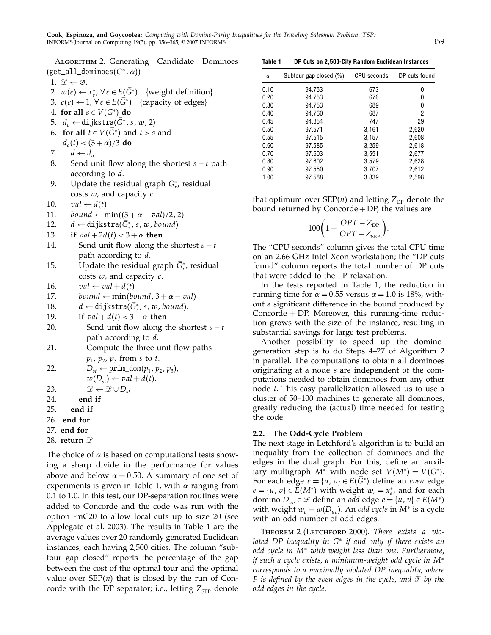ALGORITHM 2. Generating Candidate Dominoes  $(get\_all\_dominoes(G^*, \alpha))$ 1.  $\mathcal{L} \leftarrow \emptyset$ .

- 2.  $w(e) \leftarrow x_e^*$ ,  $\forall e \in E(G^*)$  {weight definition}
- 3.  $c(e) \leftarrow 1$ , ∀e ∈  $E(\bar{G}^*)$  {capacity of edges}
- 4. for all  $s \in V(G^*)$  do
- 5.  $d_o \leftarrow \text{dijkstra}(G^*, s, w, 2)$
- 6. for all  $t \in V(\overline{G}^*)$  and  $t > s$  and  $d_o(t) < (3 + \alpha)/3$  do
- 
- 7.  $d \leftarrow d_o$ <br>8. Send u Send unit flow along the shortest  $s - t$  path according to d.
- 9. Update the residual graph  $G_r^*$ , residual costs  $w$ , and capacity  $c$ .
- 10.  $val \leftarrow d(t)$
- 11. bound ← min( $(3 + \alpha val)/2, 2$ )<br>12.  $d \leftarrow \text{dikstra}(\bar{G}^*, s, w, bound)$
- 12.  $d \leftarrow \text{dijkstra}(G_r^*, s, w, bound)$
- 13. if  $val + 2d(t) < 3 + \alpha$  then
- 14. Send unit flow along the shortest  $s t$ path according to d.
- 15. Update the residual graph  $G_r^*$ , residual costs  $w$ , and capacity  $c$ .
- 16.  $val \leftarrow val + d(t)$ <br>17.  $bound \leftarrow min(bc)$
- 17. bound ← min(bound,  $3 + \alpha val$ )<br>18. d ← dijkstra( $\overline{G}^*$ , s, w, bound).
- 18.  $d \leftarrow \text{dijkstra}(G_r^*, s, w, bound).$
- 19. if  $val + d(t) < 3 + \alpha$  then
- 20. Send unit flow along the shortest  $s t$ path according to d.
- 21. Compute the three unit-flow paths  $p_1$ ,  $p_2$ ,  $p_3$  from s to t.

22. 
$$
D_{st} \leftarrow \text{prim\_dom}(p_1, p_2, p_3),
$$

$$
w(D_{st}) \leftarrow val + d(t).
$$

23. 
$$
\mathscr{L} \leftarrow \mathscr{L} \cup D_{st}
$$

$$
24. \hspace{15pt} \textbf{end if}
$$

- 25. end if
- 26. end for
- 27. end for
- 28. return  $\mathcal{L}$

The choice of  $\alpha$  is based on computational tests showing a sharp divide in the performance for values above and below  $\alpha = 0.50$ . A summary of one set of experiments is given in Table 1, with  $\alpha$  ranging from 0.1 to 1.0. In this test, our DP-separation routines were added to Concorde and the code was run with the option -mC20 to allow local cuts up to size 20 (see Applegate et al. 2003). The results in Table 1 are the average values over 20 randomly generated Euclidean instances, each having 2,500 cities. The column "subtour gap closed" reports the percentage of the gap between the cost of the optimal tour and the optimal value over  $\text{SEP}(n)$  that is closed by the run of Concorde with the DP separator; i.e., letting  $Z_{\text{SEP}}$  denote

| $\alpha$ | Subtour gap closed (%) | CPU seconds | DP cuts found |
|----------|------------------------|-------------|---------------|
| 0.10     | 94.753                 | 673         | 0             |
| 0.20     | 94.753                 | 676         | 0             |
| 0.30     | 94.753                 | 689         | 0             |
| 0.40     | 94.760                 | 687         | 2             |
| 0.45     | 94.854                 | 747         | 29            |
| 0.50     | 97.571                 | 3.161       | 2,620         |
| 0.55     | 97.515                 | 3,157       | 2,608         |
| 0.60     | 97.585                 | 3,259       | 2,618         |
| 0.70     | 97.603                 | 3,551       | 2,677         |
| 0.80     | 97.602                 | 3.579       | 2.628         |
| 0.90     | 97.550                 | 3,707       | 2,612         |
| 1.00     | 97.588                 | 3.839       | 2.598         |

Table 1 DP Cuts on 2,500-City Random Euclidean Instances

that optimum over  $\text{SEP}(n)$  and letting  $Z_{\text{DP}}$  denote the bound returned by Concorde + DP, the values are

$$
100\bigg(1-\frac{OPT-Z_{DP}}{OPT-Z_{SEP}}\bigg).
$$

The "CPU seconds" column gives the total CPU time on an 2.66 GHz Intel Xeon workstation; the "DP cuts found" column reports the total number of DP cuts that were added to the LP relaxation.

In the tests reported in Table 1, the reduction in running time for  $\alpha = 0.55$  versus  $\alpha = 1.0$  is 18%, without a significant difference in the bound produced by Concorde  $+$  DP. Moreover, this running-time reduction grows with the size of the instance, resulting in substantial savings for large test problems.

Another possibility to speed up the dominogeneration step is to do Steps 4–27 of Algorithm 2 in parallel. The computations to obtain all dominoes originating at a node s are independent of the computations needed to obtain dominoes from any other node t. This easy parallelization allowed us to use a cluster of 50–100 machines to generate all dominoes, greatly reducing the (actual) time needed for testing the code.

## 2.2. The Odd-Cycle Problem

The next stage in Letchford's algorithm is to build an inequality from the collection of dominoes and the edges in the dual graph. For this, define an auxiliary multigraph  $M^*$  with node set  $V(M^*) = V(G^*)$ . For each edge  $e = \{u, v\} \in E(G^*)$  define an *even* edge  $e = \{u, v\} \in E(M^*)$  with weight  $w_e = x_e^*$ , and for each domino  $D_{uv} \in \mathcal{L}$  define an *odd* edge  $e = \{u, v\} \in E(M^*)$ with weight  $w_e = w(D_{uv})$ . An odd cycle in M<sup>\*</sup> is a cycle with an odd number of odd edges.

THEOREM 2 (LETCHFORD 2000). There exists a violated DP inequality in G<sup>∗</sup> if and only if there exists an odd cycle in M<sup>∗</sup> with weight less than one. Furthermore, if such a cycle exists, a minimum-weight odd cycle in M<sup>∗</sup> corresponds to a maximally violated DP inequality, where F is defined by the even edges in the cycle, and T by the odd edges in the cycle.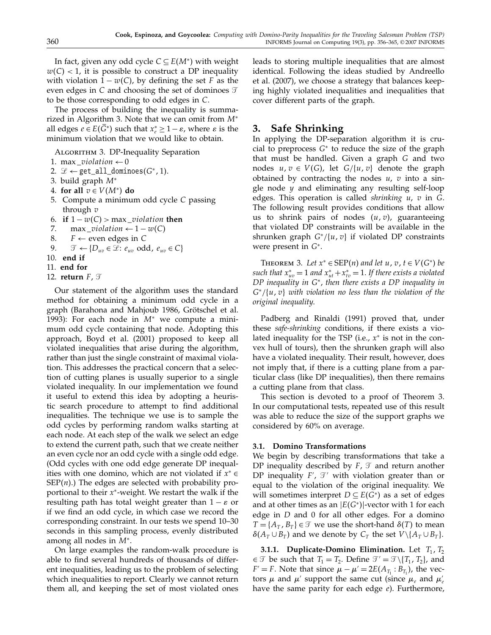In fact, given any odd cycle  $C \subseteq E(M^*)$  with weight  $w(C)$  < 1, it is possible to construct a DP inequality with violation  $1 - w(C)$ , by defining the set F as the even edges in C and choosing the set of dominoes  $\mathfrak I$ to be those corresponding to odd edges in C.

The process of building the inequality is summarized in Algorithm 3. Note that we can omit from M<sup>∗</sup> all edges  $e \in E(G^*)$  such that  $x_e^* \geq 1 - \varepsilon$ , where  $\varepsilon$  is the minimum violation that we would like to obtain.

ALGORITHM 3. DP-Inequality Separation

- 1. max \_violation  $\leftarrow 0$
- 2.  $\mathcal{L} \leftarrow$  get\_all\_dominoes( $G^*$ , 1).
- 3. build graph M<sup>∗</sup>
- 4. for all  $v \in V(M^*)$  do
- 5. Compute a minimum odd cycle C passing through  $v$
- 6. if  $1 w(C) > \max\_violation$  then<br>7. max *violation*  $\leftarrow 1 w(C)$
- 7. max\_violation  $\leftarrow$  1 w(C)<br>8.  $F \leftarrow$  even edges in C
- $F \leftarrow$  even edges in C
- 9.  $\mathcal{T} \leftarrow \{D_{uv} \in \mathcal{L} : e_{uv} \text{ odd}, e_{uv} \in C\}$
- 10. end if
- 11. end for
- 12. return  $F$ ,  $\mathcal T$

Our statement of the algorithm uses the standard method for obtaining a minimum odd cycle in a graph (Barahona and Mahjoub 1986, Grötschel et al. 1993): For each node in M<sup>∗</sup> we compute a minimum odd cycle containing that node. Adopting this approach, Boyd et al. (2001) proposed to keep all violated inequalities that arise during the algorithm, rather than just the single constraint of maximal violation. This addresses the practical concern that a selection of cutting planes is usually superior to a single violated inequality. In our implementation we found it useful to extend this idea by adopting a heuristic search procedure to attempt to find additional inequalities. The technique we use is to sample the odd cycles by performing random walks starting at each node. At each step of the walk we select an edge to extend the current path, such that we create neither an even cycle nor an odd cycle with a single odd edge. (Odd cycles with one odd edge generate DP inequalities with one domino, which are not violated if  $x^*$  ∈  $\text{SEP}(n)$ .) The edges are selected with probability proportional to their  $x^*$ -weight. We restart the walk if the resulting path has total weight greater than  $1 - \varepsilon$  or if we find an odd cycle, in which case we record the corresponding constraint. In our tests we spend 10–30 seconds in this sampling process, evenly distributed among all nodes in M∗.

On large examples the random-walk procedure is able to find several hundreds of thousands of different inequalities, leading us to the problem of selecting which inequalities to report. Clearly we cannot return them all, and keeping the set of most violated ones

leads to storing multiple inequalities that are almost identical. Following the ideas studied by Andreello et al. (2007), we choose a strategy that balances keeping highly violated inequalities and inequalities that cover different parts of the graph.

# 3. Safe Shrinking

In applying the DP-separation algorithm it is crucial to preprocess  $G^*$  to reduce the size of the graph that must be handled. Given a graph G and two nodes  $u, v \in V(G)$ , let  $G/\{u, v\}$  denote the graph obtained by contracting the nodes  $u$ ,  $v$  into a single node  $y$  and eliminating any resulting self-loop edges. This operation is called shrinking  $u$ ,  $v$  in  $G$ . The following result provides conditions that allow us to shrink pairs of nodes  $(u, v)$ , guaranteeing that violated DP constraints will be available in the shrunken graph  $G^*/{u,v}$  if violated DP constraints were present in G∗.

THEOREM 3. Let  $x^* \in \text{SEP}(n)$  and let  $u, v, t \in V(G^*)$  be such that  $x_{uv}^* = 1$  and  $x_{ut}^* + x_{tv}^* = 1$ . If there exists a violated DP inequality in G∗, then there exists a DP inequality in  $G^*/{u, v}$  with violation no less than the violation of the original inequality.

Padberg and Rinaldi (1991) proved that, under these safe-shrinking conditions, if there exists a violated inequality for the TSP (i.e.,  $x^*$  is not in the convex hull of tours), then the shrunken graph will also have a violated inequality. Their result, however, does not imply that, if there is a cutting plane from a particular class (like DP inequalities), then there remains a cutting plane from that class.

This section is devoted to a proof of Theorem 3. In our computational tests, repeated use of this result was able to reduce the size of the support graphs we considered by 60% on average.

## 3.1. Domino Transformations

We begin by describing transformations that take a DP inequality described by F,  $\mathcal T$  and return another DP inequality  $F'$ ,  $\mathcal{T}'$  with violation greater than or equal to the violation of the original inequality. We will sometimes interpret  $D ⊆ E(G<sup>*</sup>)$  as a set of edges and at other times as an  $|E(G^*)|$ -vector with 1 for each edge in D and 0 for all other edges. For a domino  $T = \{A_T, B_T\} \in \mathcal{T}$  we use the short-hand  $\delta(T)$  to mean  $\delta(A_T \cup B_T)$  and we denote by  $C_T$  the set  $V \setminus \{A_T \cup B_T\}.$ 

3.1.1. Duplicate-Domino Elimination. Let  $T_1, T_2$  $\in \mathcal{T}$  be such that  $T_1 = T_2$ . Define  $\mathcal{T}' = \mathcal{T} \setminus \{T_1, T_2\}$ , and  $F' = F$ . Note that since  $\mu - \mu' = 2E(A_{T_1} : B_{T_1})$ , the vectors  $\mu$  and  $\mu'$  support the same cut (since  $\mu_e$  and  $\mu'_e$ have the same parity for each edge  $e$ ). Furthermore,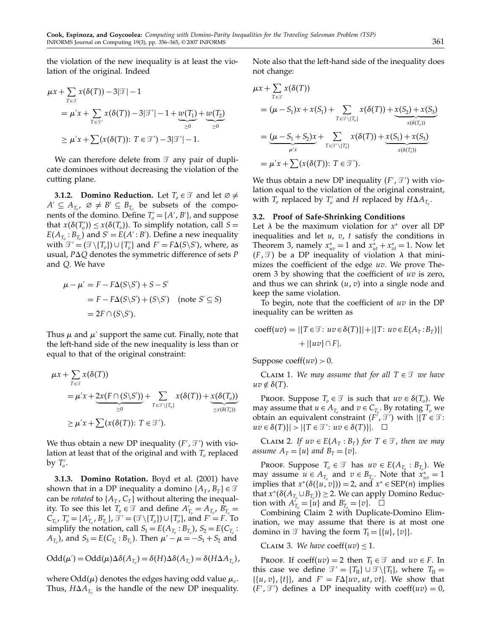the violation of the new inequality is at least the violation of the original. Indeed

$$
\mu x + \sum_{T \in \mathcal{T}} x(\delta(T)) - 3|\mathcal{T}| - 1
$$
  
=  $\mu' x + \sum_{T \in \mathcal{T'}} x(\delta(T)) - 3|\mathcal{T'}| - 1 + \underbrace{w(T_1)}_{\geq 0} + \underbrace{w(T_2)}_{\geq 0}$   
 $\geq \mu' x + \sum (x(\delta(T)) : T \in \mathcal{T'}) - 3|\mathcal{T'}| - 1.$ 

We can therefore delete from  $\mathfrak I$  any pair of duplicate dominoes without decreasing the violation of the cutting plane.

**3.1.2. Domino Reduction.** Let  $T_o \in \mathcal{T}$  and let  $\varnothing \neq \varnothing$  $A' \subseteq A_{T_o}, \ \varnothing \neq B' \subseteq B_{T_o}$  be subsets of the components of the domino. Define  $T'_{o} = \{A', B'\}$ , and suppose that  $x(\delta(T'_o)) \leq x(\delta(T_o))$ . To simplify notation, call  $S =$  $E(A_{T_o}:B_{T_o})$  and  $S' = E(A':B')$ . Define a new inequality with  $\mathcal{T}' = (\mathcal{T} \setminus \{T_o\}) \cup \{T'_o\}$  and  $F' = F\Delta(S \setminus S')$ , where, as usual,  $P\Delta Q$  denotes the symmetric difference of sets  $P$ and Q. We have

$$
\mu - \mu' = F - F\Delta(S \setminus S') + S - S'
$$
  
=  $F - F\Delta(S \setminus S') + (S \setminus S')$  (note  $S' \subseteq S$ )  
=  $2F \cap (S \setminus S')$ .

Thus  $\mu$  and  $\mu'$  support the same cut. Finally, note that the left-hand side of the new inequality is less than or equal to that of the original constraint:

$$
\mu x + \sum_{T \in \mathcal{T}} x(\delta(T))
$$
  
=  $\mu' x + 2x(F \cap (S \setminus S')) + \sum_{T \in \mathcal{T} \setminus \{T_0\}} x(\delta(T)) + x(\delta(T_0))$   
 $\geq \mu' x + \sum (x(\delta(T))).$   $T \in \mathcal{T}').$ 

We thus obtain a new DP inequality  $(F', \mathcal{T}')$  with violation at least that of the original and with  $T<sub>o</sub>$  replaced by  $T'_o$ .

3.1.3. Domino Rotation. Boyd et al. (2001) have shown that in a DP inequality a domino  $\{A_T, B_T\} \in \mathcal{T}$ can be *rotated* to  $\{A_T, C_T\}$  without altering the inequality. To see this let  $T_o \in \mathcal{T}$  and define  $A'_{T_o} = A_{T_o}, B'_{T_o} =$  $C_{T_o}$ ,  $T_o' = \{A'_{T_o}, B'_{T_o}\}, \mathcal{T}' = (\mathcal{T} \setminus \{T_o\}) \cup \{T_o'\}, \text{ and } F' = F.$  To simplify the notation, call  $S_1 = E(A_{T_o} : B_{T_o})$ ,  $S_2 = E(C_{T_o} : B_{T_o})$  $A_{T_o}$ ), and  $S_3 = E(C_{T_o} : B_{T_o})$ . Then  $\mu' - \mu = -S_1 + S_2$  and

$$
\mathrm{Odd}(\mu')=\mathrm{Odd}(\mu)\Delta\delta(A_{T_o})=\delta(H)\Delta\delta(A_{T_o})=\delta(H\Delta A_{T_o}),
$$

where  $Odd(\mu)$  denotes the edges having odd value  $\mu_e$ . Thus,  $H\Delta A_{T_a}$  is the handle of the new DP inequality. Note also that the left-hand side of the inequality does not change:

$$
\mu x + \sum_{T \in \mathcal{T}} x(\delta(T))
$$
\n
$$
= (\mu - S_1)x + x(S_1) + \sum_{T \in \mathcal{T} \setminus \{T_0\}} x(\delta(T)) + \underbrace{x(S_2) + x(S_3)}_{x(\delta(T_0))}
$$
\n
$$
= \underbrace{(\mu - S_1 + S_2)x}_{\mu'x} + \sum_{T \in \mathcal{T}' \setminus \{T'_0\}} x(\delta(T)) + \underbrace{x(S_1) + x(S_3)}_{x(\delta(T_0))}
$$
\n
$$
= \mu' x + \sum (x(\delta(T)) \colon T \in \mathcal{T}').
$$

We thus obtain a new DP inequality  $(F', \mathcal{T}')$  with violation equal to the violation of the original constraint, with  $T_o$  replaced by  $T'_o$  and  $H$  replaced by  $H \Delta A_{T_o}.$ 

#### 3.2. Proof of Safe-Shrinking Conditions

Let  $\lambda$  be the maximum violation for  $x^*$  over all DP inequalities and let  $u$ ,  $v$ ,  $t$  satisfy the conditions in Theorem 3, namely  $x_{uv}^* = 1$  and  $x_{ut}^* + x_{vt}^* = 1$ . Now let  $(F, \mathcal{T})$  be a DP inequality of violation  $\lambda$  that minimizes the coefficient of the edge uv. We prove Theorem 3 by showing that the coefficient of uv is zero, and thus we can shrink  $(u, v)$  into a single node and keep the same violation.

To begin, note that the coefficient of  $uv$  in the DP inequality can be written as

$$
\begin{aligned} \text{coeff}(uv) &= |\{T \in \mathcal{T} \colon uv \in \delta(T)\}| + |\{T \colon uv \in E(A_T : B_T)\}| \\ &+ |\{uv\} \cap F|. \end{aligned}
$$

Suppose  $\text{coeff}(uv) > 0$ .

CLAIM 1. We may assume that for all  $T \in \mathcal{T}$  we have  $uv \notin \delta(T)$ .

Proof. Suppose  $T_o \in \mathcal{T}$  is such that  $uv \in \delta(T_o)$ . We may assume that  $u \in A_{T_o}$  and  $v \in C_{T_o}$ . By rotating  $T_o$  we obtain an equivalent constraint  $(F', \mathcal{T}')$  with  $|{T \in \mathcal{T}}$ :  $|uv \in \delta(T)| > |\{T \in \mathcal{T}' : uv \in \delta(T)\}|. \quad \Box$ 

CLAIM 2. If  $uv \in E(A_T : B_T)$  for  $T \in \mathcal{T}$ , then we may assume  $A_T = \{u\}$  and  $B_T = \{v\}.$ 

Proof. Suppose  $T_o \in \mathcal{T}$  has  $uv \in E(A_{T_o} : B_{T_o})$ . We may assume  $u \in A_{T_o}$  and  $v \in B_{T_o}$ . Note that  $x_{uv}^* = 1$ implies that  $x^*(\delta({u, v})) = 2$ , and  $x^* \in \text{SEP}(n)$  implies that  $x^*(\delta(A_{T_o} \cup B_{T_o})) \geq 2$ . We can apply Domino Reduction with  $A'_{T_o} = \{u\}$  and  $B'_{T_o} = \{v\}$ .

Combining Claim 2 with Duplicate-Domino Elimination, we may assume that there is at most one domino in  $\mathcal T$  having the form  $T_I = \{ \{u\}, \{v\} \}.$ 

CLAIM 3. We have coeff $(uv) \leq 1$ .

PROOF. If  $\text{coeff}(uv) = 2$  then  $T_1 \in \mathcal{T}$  and  $uv \in F$ . In this case we define  $\mathcal{T}' = \{T_{II}\} \cup \mathcal{T} \setminus \{T_I\}$ , where  $T_{II} =$  $\{\{u, v\}, \{t\}\}\$ , and  $F' = F\Delta\{uv, ut, vt\}$ . We show that  $(F', \mathcal{T}')$  defines a DP inequality with coeff $(uv) = 0$ ,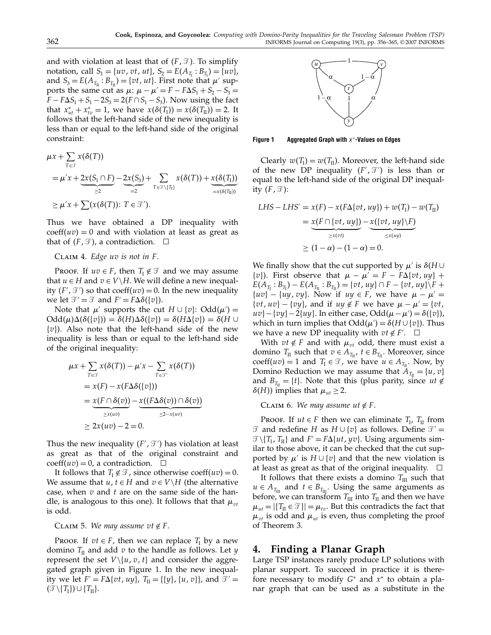and with violation at least that of  $(F,\mathcal{I}).$  To simplify notation, call  $S_1 = \{uv, vt, ut\}$ ,  $S_2 = E(A_{T_1} : B_{T_1}) = \{uv\}$ , and  $S_3 = E(A_{T_{II}} : B_{T_{II}}) = \{vt, ut\}$ . First note that  $\mu'$  supports the same cut as  $\mu$ :  $\mu - \mu' = F - F \Delta S_1 + S_2 - S_3 =$  $F - F\Delta S_1 + S_1 - 2S_3 = 2(F \cap S_1 - S_3)$ . Now using the fact that  $x_{ut}^* + x_{tv}^* = 1$ , we have  $x(\delta(T_{\text{I}})) = x(\delta(T_{\text{II}})) = 2$ . It follows that the left-hand side of the new inequality is less than or equal to the left-hand side of the original constraint:

$$
\mu x + \sum_{T \in \mathcal{T}} x(\delta(T))
$$
\n
$$
= \mu' x + \underbrace{2x(S_1 \cap F)}_{\geq 2} - \underbrace{2x(S_3)}_{=2} + \sum_{T \in \mathcal{T} \setminus \{T_I\}} x(\delta(T)) + \underbrace{x(\delta(T_1))}_{=x(\delta(T_1))}
$$
\n
$$
\geq \mu' x + \sum (x(\delta(T)) \colon T \in \mathcal{T}').
$$

Thus we have obtained a DP inequality with  $\text{coeff}(uv) = 0$  and with violation at least as great as that of  $(F, \mathcal{T})$ , a contradiction.  $\Box$ 

#### CLAIM 4. Edge uv is not in F.

Proof. If  $uv \in F$ , then  $T_I \notin \mathcal{T}$  and we may assume that  $u \in H$  and  $v \in V \backslash H$ . We will define a new inequality  $(F', \mathcal{T}')$  so that coeff $(uv) = 0$ . In the new inequality we let  $\mathcal{T}' = \mathcal{T}$  and  $F' = F \Delta \delta({v}).$ 

Note that  $\mu'$  supports the cut  $H \cup \{v\}$ :  $Odd(\mu') =$  $\text{Odd}(\mu)\Delta(\delta(\{v\})) = \delta(H)\Delta\delta(\{v\}) = \delta(H\Delta\{v\}) = \delta(H\cup$  $\{v\}$ ). Also note that the left-hand side of the new inequality is less than or equal to the left-hand side of the original inequality:

$$
\mu x + \sum_{T \in \mathcal{T}} x(\delta(T)) - \mu' x - \sum_{T \in \mathcal{T}'} x(\delta(T))
$$
  
=  $x(F) - x(F\Delta \delta(\{v\}))$   
=  $\underbrace{x(F \cap \delta(v))}_{\geq x(uv)} - \underbrace{x((F\Delta \delta(v)) \cap \delta(v))}_{\leq 2 - x(uv)}$   
 $\geq 2x(uv) - 2 = 0.$ 

Thus the new inequality  $(F',\mathcal{I}')$  has violation at least as great as that of the original constraint and  $\mathrm{coeff}(uv) = 0$ , a contradiction.  $\Box$ 

It follows that  $T_1 \notin \mathcal{T}$ , since otherwise coeff $(uv) = 0$ . We assume that  $u, t \in H$  and  $v \in V \backslash H$  (the alternative case, when  $v$  and  $t$  are on the same side of the handle, is analogous to this one). It follows that that  $\mu_{nt}$ is odd.

#### CLAIM 5. We may assume  $vt \notin F$ .

PROOF. If  $vt \in F$ , then we can replace  $T_I$  by a new domino  $T_{II}$  and add v to the handle as follows. Let y represent the set  $V \setminus \{u, v, t\}$  and consider the aggregated graph given in Figure 1. In the new inequality we let  $F' = F\Delta \{vt, uy\}$ ,  $T_{\text{II}} = \{\{y\}, \{u, v\}\}$ , and  $\mathcal{T}' =$  $(\mathcal{T}\setminus \{T_{\text{I}}\})\cup \{T_{\text{II}}\}.$ 



Figure 1 Aggregated Graph with  $x^*$ -Values on Edges

Clearly  $w(T_1) = w(T_1)$ . Moreover, the left-hand side of the new DP inequality  $(F', \mathcal{T}')$  is less than or equal to the left-hand side of the original DP inequality  $(F,\mathcal{I})$ :

LHS – LHS' = 
$$
x(F) - x(F\Delta\{vt, uy\}) + w(T_1) - w(T_{\Pi})
$$
  
\n=  $\underbrace{x(F \cap \{vt, uy\})}_{\geq x(vt)} - \underbrace{x(\{vt, uy\} \setminus F)}_{\leq x(uy)}$   
\n $\geq (1 - \alpha) - (1 - \alpha) = 0.$ 

We finally show that the cut supported by  $\mu'$  is  $\delta(H \cup$  $\{v\}$ ). First observe that  $\mu - \mu' = F - F\Delta\{vt, uy\} +$  $E(A_{T_1}:B_{T_1})-E(A_{T_{II}}:B_{T_{II}})=\{vt, uy\}\cap F-\{vt, uy\}\backslash F+$  $\{uv\}$  –  $\{uy, vy\}$ . Now if  $uy \in F$ , we have  $\mu - \mu' =$ {*vt*, *uv*} – {*vy*}, and if *uy*  $\notin$  F we have  $\mu - \mu' = \{vt, v\}$  $uv\} - \{vy\} - 2\{uy\}$ . In either case,  $Odd(\mu - \mu') = \delta(\{v\})$ , which in turn implies that  $Odd(\mu') = \delta(H \cup \{v\})$ . Thus we have a new DP inequality with  $vt \notin F'$ .  $\Box$ 

With  $vt \notin F$  and with  $\mu_{vt}$  odd, there must exist a domino  $T_{II}$  such that  $v \in A_{T_{II}}$ ,  $t \in B_{T_{II}}$ . Moreover, since coeff(*uv*) = 1 and  $T_{\text{I}} \in \mathcal{T}$ , we have  $u \in A_{T_{\text{II}}}$ . Now, by Domino Reduction we may assume that  $A_{T_{II}} = \{u, v\}$ and  $B_{T_{II}} = \{t\}$ . Note that this (plus parity, since  $ut \notin$  $\delta(H)$ ) implies that  $\mu_{ut} \geq 2$ .

CLAIM 6. We may assume  $ut \notin F$ .

PROOF. If  $ut \in F$  then we can eliminate  $T_I$ ,  $T_{II}$  from  $\mathcal T$  and redefine H as  $H \cup \{v\}$  as follows. Define  $\mathcal T' =$  $\mathcal{T}\setminus\{T_{\text{I}}, T_{\text{II}}\}$  and  $F' = F\Delta\{ut, yv\}$ . Using arguments similar to those above, it can be checked that the cut supported by  $\mu'$  is  $H \cup \{v\}$  and that the new violation is at least as great as that of the original inequality.  $\Box$ 

It follows that there exists a domino  $T_{III}$  such that  $u \in A_{T_{\text{III}}}$  and  $t \in B_{T_{\text{III}}}$ . Using the same arguments as before, we can transform  $T_{III}$  into  $T_{II}$  and then we have  $\mu_{ut} = |\{T_{II} \in \mathcal{T}\}| = \mu_{tv}$ . But this contradicts the fact that  $\mu_{vt}$  is odd and  $\mu_{ut}$  is even, thus completing the proof of Theorem 3.

## 4. Finding a Planar Graph

Large TSP instances rarely produce LP solutions with planar support. To succeed in practice it is therefore necessary to modify  $G^*$  and  $x^*$  to obtain a planar graph that can be used as a substitute in the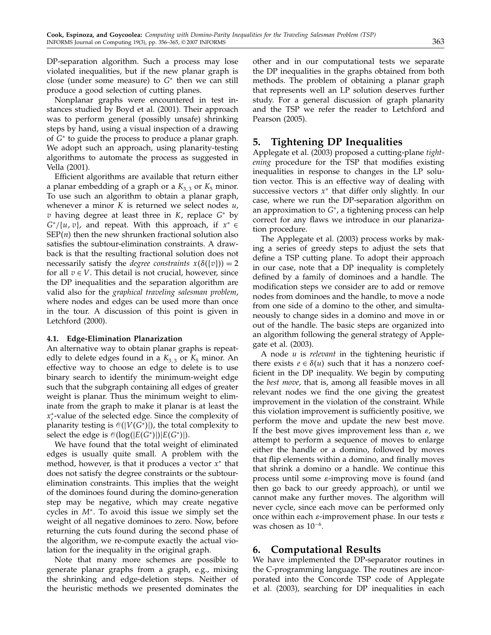DP-separation algorithm. Such a process may lose violated inequalities, but if the new planar graph is close (under some measure) to  $G^*$  then we can still produce a good selection of cutting planes.

Nonplanar graphs were encountered in test instances studied by Boyd et al. (2001). Their approach was to perform general (possibly unsafe) shrinking steps by hand, using a visual inspection of a drawing of G<sup>∗</sup> to guide the process to produce a planar graph. We adopt such an approach, using planarity-testing algorithms to automate the process as suggested in Vella (2001).

Efficient algorithms are available that return either a planar embedding of a graph or a  $K_{3,3}$  or  $K_5$  minor. To use such an algorithm to obtain a planar graph, whenever a minor  $K$  is returned we select nodes  $u$ , v having degree at least three in K, replace  $G^*$  by  $G^*/{u,v}$ , and repeat. With this approach, if  $x^* \in$  $\text{SEP}(n)$  then the new shrunken fractional solution also satisfies the subtour-elimination constraints. A drawback is that the resulting fractional solution does not necessarily satisfy the *degree constraints*  $x(\delta({v})) = 2$ for all  $v \in V$ . This detail is not crucial, however, since the DP inequalities and the separation algorithm are valid also for the graphical traveling salesman problem, where nodes and edges can be used more than once in the tour. A discussion of this point is given in Letchford (2000).

## 4.1. Edge-Elimination Planarization

An alternative way to obtain planar graphs is repeatedly to delete edges found in a  $K_{3,3}$  or  $K_5$  minor. An effective way to choose an edge to delete is to use binary search to identify the minimum-weight edge such that the subgraph containing all edges of greater weight is planar. Thus the minimum weight to eliminate from the graph to make it planar is at least the  $x_e^*$ -value of the selected edge. Since the complexity of planarity testing is  $\mathcal{O}(|V(G^*)|)$ , the total complexity to select the edge is  $\mathcal{O}(\log(|E(G^*)|)|E(G^*)|)$ .

We have found that the total weight of eliminated edges is usually quite small. A problem with the method, however, is that it produces a vector  $x^*$  that does not satisfy the degree constraints or the subtourelimination constraints. This implies that the weight of the dominoes found during the domino-generation step may be negative, which may create negative cycles in M∗. To avoid this issue we simply set the weight of all negative dominoes to zero. Now, before returning the cuts found during the second phase of the algorithm, we re-compute exactly the actual violation for the inequality in the original graph.

Note that many more schemes are possible to generate planar graphs from a graph, e.g., mixing the shrinking and edge-deletion steps. Neither of the heuristic methods we presented dominates the

other and in our computational tests we separate the DP inequalities in the graphs obtained from both methods. The problem of obtaining a planar graph that represents well an LP solution deserves further study. For a general discussion of graph planarity and the TSP we refer the reader to Letchford and Pearson (2005).

# 5. Tightening DP Inequalities

Applegate et al. (2003) proposed a cutting-plane tightening procedure for the TSP that modifies existing inequalities in response to changes in the LP solution vector. This is an effective way of dealing with successive vectors  $x^*$  that differ only slightly. In our case, where we run the DP-separation algorithm on an approximation to  $G^*$ , a tightening process can help correct for any flaws we introduce in our planarization procedure.

The Applegate et al. (2003) process works by making a series of greedy steps to adjust the sets that define a TSP cutting plane. To adopt their approach in our case, note that a DP inequality is completely defined by a family of dominoes and a handle. The modification steps we consider are to add or remove nodes from dominoes and the handle, to move a node from one side of a domino to the other, and simultaneously to change sides in a domino and move in or out of the handle. The basic steps are organized into an algorithm following the general strategy of Applegate et al. (2003).

A node u is relevant in the tightening heuristic if there exists  $e \in \delta(u)$  such that it has a nonzero coefficient in the DP inequality. We begin by computing the best move, that is, among all feasible moves in all relevant nodes we find the one giving the greatest improvement in the violation of the constraint. While this violation improvement is sufficiently positive, we perform the move and update the new best move. If the best move gives improvement less than  $\varepsilon$ , we attempt to perform a sequence of moves to enlarge either the handle or a domino, followed by moves that flip elements within a domino, and finally moves that shrink a domino or a handle. We continue this process until some  $\varepsilon$ -improving move is found (and then go back to our greedy approach), or until we cannot make any further moves. The algorithm will never cycle, since each move can be performed only once within each  $\varepsilon$ -improvement phase. In our tests  $\varepsilon$ was chosen as 10−6.

# 6. Computational Results

We have implemented the DP-separator routines in the C-programming language. The routines are incorporated into the Concorde TSP code of Applegate et al. (2003), searching for DP inequalities in each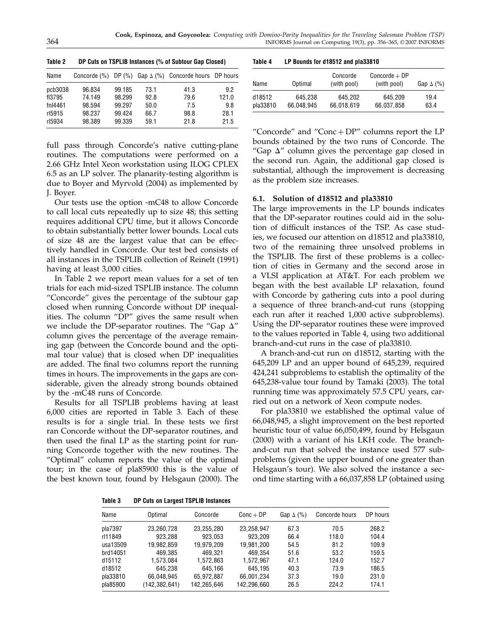| Name    |        |        |      | Concorde $(\%)$ DP $(\%)$ Gap $\Delta$ $(\%)$ Concorde hours DP hours |       |
|---------|--------|--------|------|-----------------------------------------------------------------------|-------|
| pcb3038 | 96.834 | 99.185 | 73.1 | 41.3                                                                  | 92    |
| fl3795  | 74.149 | 98.299 | 92.8 | 79.6                                                                  | 121.0 |
| fnl4461 | 98.594 | 99.297 | 50.0 | 7.5                                                                   | 9.8   |
| rl5915  | 98.237 | 99.424 | 66.7 | 98.8                                                                  | 28.1  |
| rl5934  | 98.389 | 99.339 | 59.1 | 21.8                                                                  | 21.5  |

Table 2 DP Cuts on TSPLIB Instances (% of Subtour Gap Closed)

full pass through Concorde's native cutting-plane routines. The computations were performed on a 2.66 GHz Intel Xeon workstation using ILOG CPLEX 6.5 as an LP solver. The planarity-testing algorithm is due to Boyer and Myrvold (2004) as implemented by J. Boyer.

Our tests use the option -mC48 to allow Concorde to call local cuts repeatedly up to size 48; this setting requires additional CPU time, but it allows Concorde to obtain substantially better lower bounds. Local cuts of size 48 are the largest value that can be effectively handled in Concorde. Our test bed consists of all instances in the TSPLIB collection of Reinelt (1991) having at least 3,000 cities.

In Table 2 we report mean values for a set of ten trials for each mid-sized TSPLIB instance. The column "Concorde" gives the percentage of the subtour gap closed when running Concorde without DP inequalities. The column "DP" gives the same result when we include the DP-separator routines. The "Gap  $\Delta$ " column gives the percentage of the average remaining gap (between the Concorde bound and the optimal tour value) that is closed when DP inequalities are added. The final two columns report the running times in hours. The improvements in the gaps are considerable, given the already strong bounds obtained by the -mC48 runs of Concorde.

Results for all TSPLIB problems having at least 6,000 cities are reported in Table 3. Each of these results is for a single trial. In these tests we first ran Concorde without the DP-separator routines, and then used the final LP as the starting point for running Concorde together with the new routines. The "Optimal" column reports the value of the optimal tour; in the case of pla85900 this is the value of the best known tour, found by Helsgaun (2000). The

Table 4 LP Bounds for d18512 and pla33810

| Name     | Optimal    | Concorde<br>(with pool) | $Concorde + DP$<br>(with pool) | Gap $\Delta$ (%) |
|----------|------------|-------------------------|--------------------------------|------------------|
| d18512   | 645.238    | 645.202                 | 645.209                        | 19.4             |
| pla33810 | 66.048.945 | 66,018,619              | 66,037,858                     | 63.4             |

"Concorde" and "Conc + DP" columns report the LP bounds obtained by the two runs of Concorde. The "Gap  $\Delta$ " column gives the percentage gap closed in the second run. Again, the additional gap closed is substantial, although the improvement is decreasing as the problem size increases.

### 6.1. Solution of d18512 and pla33810

The large improvements in the LP bounds indicates that the DP-separator routines could aid in the solution of difficult instances of the TSP. As case studies, we focused our attention on d18512 and pla33810, two of the remaining three unsolved problems in the TSPLIB. The first of these problems is a collection of cities in Germany and the second arose in a VLSI application at AT&T. For each problem we began with the best available LP relaxation, found with Concorde by gathering cuts into a pool during a sequence of three branch-and-cut runs (stopping each run after it reached 1,000 active subproblems). Using the DP-separator routines these were improved to the values reported in Table 4, using two additional branch-and-cut runs in the case of pla33810.

A branch-and-cut run on d18512, starting with the 645,209 LP and an upper bound of 645,239, required 424,241 subproblems to establish the optimality of the 645,238-value tour found by Tamaki (2003). The total running time was approximately 57.5 CPU years, carried out on a network of Xeon compute nodes.

For pla33810 we established the optimal value of 66,048,945, a slight improvement on the best reported heuristic tour of value 66,050,499, found by Helsgaun (2000) with a variant of his LKH code. The branchand-cut run that solved the instance used 577 subproblems (given the upper bound of one greater than Helsgaun's tour). We also solved the instance a second time starting with a 66,037,858 LP (obtained using

Table 3 DP Cuts on Largest TSPLIB Instances

| Name     | Optimal       | Concorde    | $Conc + DP$ | Gap $\Delta$ (%) | Concorde hours | DP hours |
|----------|---------------|-------------|-------------|------------------|----------------|----------|
| pla7397  | 23,260,728    | 23.255.280  | 23.258.947  | 67.3             | 70.5           | 268.2    |
| rl11849  | 923.288       | 923.053     | 923.209     | 66.4             | 118.0          | 104.4    |
| usa13509 | 19.982.859    | 19.979.209  | 19.981.200  | 54.5             | 81.2           | 109.9    |
| brd14051 | 469.385       | 469.321     | 469.354     | 51.6             | 53.2           | 159.5    |
| d15112   | 1.573.084     | 1.572.863   | 1.572.967   | 47.1             | 124.0          | 152.7    |
| d18512   | 645.238       | 645.166     | 645.195     | 40.3             | 73.9           | 186.5    |
| pla33810 | 66.048.945    | 65.972.887  | 66.001.234  | 37.3             | 19.0           | 231.0    |
| pla85900 | (142,382,641) | 142.265.646 | 142.296.660 | 26.5             | 224.2          | 174.1    |
|          |               |             |             |                  |                |          |